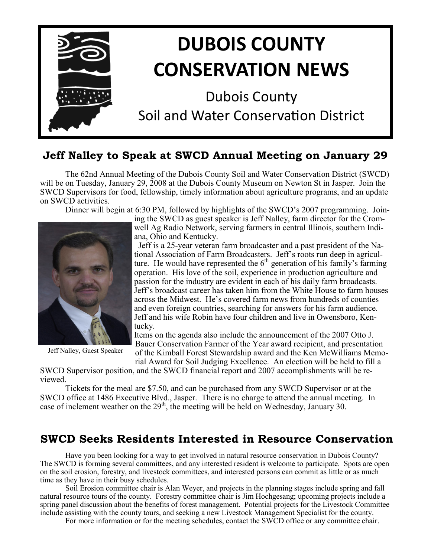

# **Jeff Nalley to Speak at SWCD Annual Meeting on January 29**

The 62nd Annual Meeting of the Dubois County Soil and Water Conservation District (SWCD) will be on Tuesday, January 29, 2008 at the Dubois County Museum on Newton St in Jasper. Join the SWCD Supervisors for food, fellowship, timely information about agriculture programs, and an update on SWCD activities.

Dinner will begin at 6:30 PM, followed by highlights of the SWCD's 2007 programming. Join-



Jeff Nalley, Guest Speaker

ing the SWCD as guest speaker is Jeff Nalley, farm director for the Cromwell Ag Radio Network, serving farmers in central Illinois, southern Indiana, Ohio and Kentucky.

 Jeff is a 25-year veteran farm broadcaster and a past president of the National Association of Farm Broadcasters. Jeff's roots run deep in agriculture. He would have represented the  $6<sup>th</sup>$  generation of his family's farming operation. His love of the soil, experience in production agriculture and passion for the industry are evident in each of his daily farm broadcasts. Jeff's broadcast career has taken him from the White House to farm houses across the Midwest. He's covered farm news from hundreds of counties and even foreign countries, searching for answers for his farm audience. Jeff and his wife Robin have four children and live in Owensboro, Kentucky.

Items on the agenda also include the announcement of the 2007 Otto J. Bauer Conservation Farmer of the Year award recipient, and presentation of the Kimball Forest Stewardship award and the Ken McWilliams Memo-

rial Award for Soil Judging Excellence. An election will be held to fill a SWCD Supervisor position, and the SWCD financial report and 2007 accomplishments will be re-

viewed.

Tickets for the meal are \$7.50, and can be purchased from any SWCD Supervisor or at the SWCD office at 1486 Executive Blvd., Jasper. There is no charge to attend the annual meeting. In case of inclement weather on the  $29<sup>th</sup>$ , the meeting will be held on Wednesday, January 30.

# **SWCD Seeks Residents Interested in Resource Conservation**

Have you been looking for a way to get involved in natural resource conservation in Dubois County? The SWCD is forming several committees, and any interested resident is welcome to participate. Spots are open on the soil erosion, forestry, and livestock committees, and interested persons can commit as little or as much time as they have in their busy schedules.

Soil Erosion committee chair is Alan Weyer, and projects in the planning stages include spring and fall natural resource tours of the county. Forestry committee chair is Jim Hochgesang; upcoming projects include a spring panel discussion about the benefits of forest management. Potential projects for the Livestock Committee include assisting with the county tours, and seeking a new Livestock Management Specialist for the county.

For more information or for the meeting schedules, contact the SWCD office or any committee chair.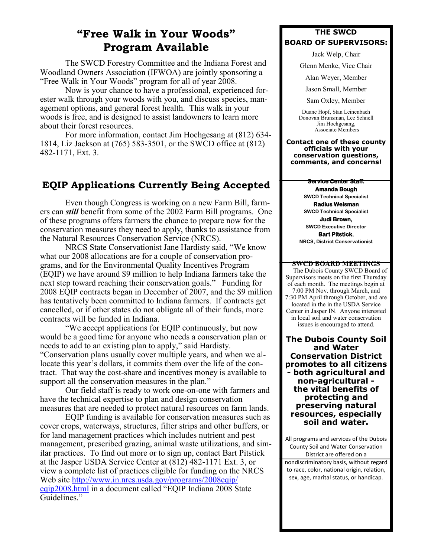# **"Free Walk in Your Woods" Program Available**

The SWCD Forestry Committee and the Indiana Forest and Woodland Owners Association (IFWOA) are jointly sponsoring a "Free Walk in Your Woods" program for all of year 2008.

Now is your chance to have a professional, experienced forester walk through your woods with you, and discuss species, management options, and general forest health. This walk in your woods is free, and is designed to assist landowners to learn more about their forest resources.

For more information, contact Jim Hochgesang at (812) 634- 1814, Liz Jackson at (765) 583-3501, or the SWCD office at (812) 482-1171, Ext. 3.

# **EQIP Applications Currently Being Accepted**

Even though Congress is working on a new Farm Bill, farmers can *still* benefit from some of the 2002 Farm Bill programs. One of these programs offers farmers the chance to prepare now for the conservation measures they need to apply, thanks to assistance from the Natural Resources Conservation Service (NRCS).

NRCS State Conservationist Jane Hardisty said, "We know what our 2008 allocations are for a couple of conservation programs, and for the Environmental Quality Incentives Program (EQIP) we have around \$9 million to help Indiana farmers take the next step toward reaching their conservation goals." Funding for 2008 EQIP contracts began in December of 2007, and the \$9 million has tentatively been committed to Indiana farmers. If contracts get cancelled, or if other states do not obligate all of their funds, more contracts will be funded in Indiana.

"We accept applications for EQIP continuously, but now would be a good time for anyone who needs a conservation plan or needs to add to an existing plan to apply," said Hardisty. "Conservation plans usually cover multiple years, and when we allocate this year's dollars, it commits them over the life of the contract. That way the cost-share and incentives money is available to support all the conservation measures in the plan."

Our field staff is ready to work one-on-one with farmers and have the technical expertise to plan and design conservation measures that are needed to protect natural resources on farm lands.

EQIP funding is available for conservation measures such as cover crops, waterways, structures, filter strips and other buffers, or for land management practices which includes nutrient and pest management, prescribed grazing, animal waste utilizations, and similar practices. To find out more or to sign up, contact Bart Pitstick at the Jasper USDA Service Center at (812) 482-1171 Ext. 3, or view a complete list of practices eligible for funding on the NRCS Web site [http://www.in.nrcs.usda.gov/programs/2008eqip/](http://www.in.nrcs.usda.gov/programs/2008eqip/eqip2008.html) [eqip2008.html](http://www.in.nrcs.usda.gov/programs/2008eqip/eqip2008.html) in a document called "EQIP Indiana 2008 State Guidelines."

#### **THE SWCD BOARD OF SUPERVISORS:**

Jack Welp, Chair

Glenn Menke, Vice Chair

Alan Weyer, Member

Jason Small, Member

Sam Oxley, Member

Duane Hopf, Stan Leinenbach Donovan Brunsman, Lee Schnell Jim Hochgesang, Associate Members

**Contact one of these county officials with your conservation questions, comments, and concerns!**

#### **Service Center Staff:**

**Amanda Bough SWCD Technical Specialist**

**Radius Weisman SWCD Technical Specialist**

**Judi Brown, SWCD Executive Director Bart Pitstick,**

**NRCS, District Conservationist**

#### **SWCD BOARD MEETINGS**

 The Dubois County SWCD Board of Supervisors meets on the first Thursday of each month. The meetings begin at 7:00 PM Nov. through March, and 7:30 PM April through October, and are located in the in the USDA Service Center in Jasper IN. Anyone interested in local soil and water conservation issues is encouraged to attend.

**The Dubois County Soil and Water Conservation District promotes to all citizens - both agricultural and non-agricultural the vital benefits of protecting and preserving natural resources, especially soil and water.**

All programs and services of the Dubois County Soil and Water Conservation District are offered on a nondiscriminatory basis, without regard to race, color, national origin, relation, sex, age, marital status, or handicap.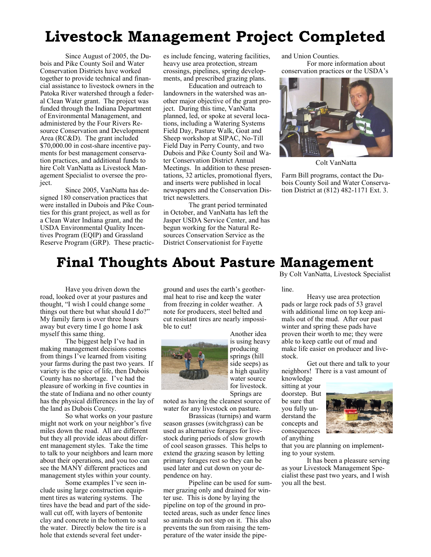# **Livestock Management Project Completed**

Since August of 2005, the Dubois and Pike County Soil and Water Conservation Districts have worked together to provide technical and financial assistance to livestock owners in the Patoka River watershed through a federal Clean Water grant. The project was funded through the Indiana Department of Environmental Management, and administered by the Four Rivers Resource Conservation and Development Area (RC&D). The grant included \$70,000.00 in cost-share incentive payments for best management conservation practices, and additional funds to hire Colt VanNatta as Livestock Management Specialist to oversee the project.

Since 2005, VanNatta has designed 180 conservation practices that were installed in Dubois and Pike Counties for this grant project, as well as for a Clean Water Indiana grant, and the USDA Environmental Quality Incentives Program (EQIP) and Grassland Reserve Program (GRP). These practices include fencing, watering facilities, heavy use area protection, stream crossings, pipelines, spring developments, and prescribed grazing plans.

Education and outreach to landowners in the watershed was another major objective of the grant project. During this time, VanNatta planned, led, or spoke at several locations, including a Watering Systems Field Day, Pasture Walk, Goat and Sheep workshop at SIPAC, No-Till Field Day in Perry County, and two Dubois and Pike County Soil and Water Conservation District Annual Meetings. In addition to these presentations, 32 articles, promotional flyers, and inserts were published in local newspapers and the Conservation District newsletters.

The grant period terminated in October, and VanNatta has left the Jasper USDA Service Center, and has begun working for the Natural Resources Conservation Service as the District Conservationist for Fayette

and Union Counties. For more information about conservation practices or the USDA's



Colt VanNatta

Farm Bill programs, contact the Dubois County Soil and Water Conservation District at (812) 482-1171 Ext. 3.

# **Final Thoughts About Pasture Management**

Have you driven down the road, looked over at your pastures and thought, "I wish I could change some things out there but what should I do?" My family farm is over three hours away but every time I go home I ask myself this same thing.

The biggest help I've had in making management decisions comes from things I've learned from visiting your farms during the past two years. If variety is the spice of life, then Dubois County has no shortage. I've had the pleasure of working in five counties in the state of Indiana and no other county has the physical differences in the lay of the land as Dubois County.

So what works on your pasture might not work on your neighbor's five miles down the road. All are different but they all provide ideas about different management styles. Take the time to talk to your neighbors and learn more about their operations, and you too can see the MANY different practices and management styles within your county.

Some examples I've seen include using large construction equipment tires as watering systems. The tires have the bead and part of the sidewall cut off, with layers of bentonite clay and concrete in the bottom to seal the water. Directly below the tire is a hole that extends several feet underground and uses the earth's geothermal heat to rise and keep the water from freezing in colder weather. A note for producers, steel belted and cut resistant tires are nearly impossible to cut!



Another idea is using heavy producing springs (hill side seeps) as a high quality water source for livestock. Springs are

noted as having the cleanest source of water for any livestock on pasture.

Brassicas (turnips) and warm season grasses (switchgrass) can be used as alternative forages for livestock during periods of slow growth of cool season grasses. This helps to extend the grazing season by letting primary forages rest so they can be used later and cut down on your dependence on hay.

Pipeline can be used for summer grazing only and drained for winter use. This is done by laying the pipeline on top of the ground in protected areas, such as under fence lines so animals do not step on it. This also prevents the sun from raising the temperature of the water inside the pipeBy Colt VanNatta, Livestock Specialist

#### line.

Heavy use area protection pads or large rock pads of 53 gravel with additional lime on top keep animals out of the mud. After our past winter and spring these pads have proven their worth to me; they were able to keep cattle out of mud and make life easier on producer and livestock.

Get out there and talk to your neighbors! There is a vast amount of knowledge

sitting at your doorstep. But be sure that you fully understand the concepts and consequences of anything



that you are planning on implementing to your system.

It has been a pleasure serving as your Livestock Management Specialist these past two years, and I wish you all the best.